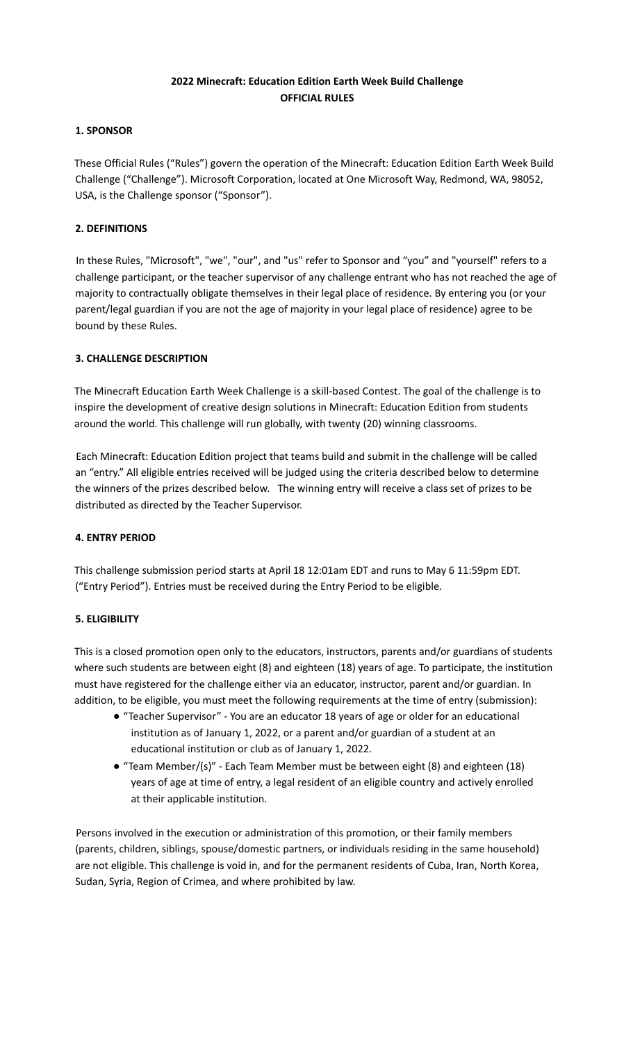# **2022 Minecraft: Education Edition Earth Week Build Challenge OFFICIAL RULES**

# **1. SPONSOR**

These Official Rules ("Rules") govern the operation of the Minecraft: Education Edition Earth Week Build Challenge ("Challenge"). Microsoft Corporation, located at One Microsoft Way, Redmond, WA, 98052, USA, is the Challenge sponsor ("Sponsor").

# **2. DEFINITIONS**

In these Rules, "Microsoft", "we", "our", and "us" refer to Sponsor and "you" and "yourself" refers to a challenge participant, or the teacher supervisor of any challenge entrant who has not reached the age of majority to contractually obligate themselves in their legal place of residence. By entering you (or your parent/legal guardian if you are not the age of majority in your legal place of residence) agree to be bound by these Rules.

# **3. CHALLENGE DESCRIPTION**

The Minecraft Education Earth Week Challenge is a skill-based Contest. The goal of the challenge is to inspire the development of creative design solutions in Minecraft: Education Edition from students around the world. This challenge will run globally, with twenty (20) winning classrooms.

Each Minecraft: Education Edition project that teams build and submit in the challenge will be called an "entry." All eligible entries received will be judged using the criteria described below to determine the winners of the prizes described below. The winning entry will receive a class set of prizes to be distributed as directed by the Teacher Supervisor.

## **4. ENTRY PERIOD**

This challenge submission period starts at April 18 12:01am EDT and runs to May 6 11:59pm EDT. ("Entry Period"). Entries must be received during the Entry Period to be eligible.

## **5. ELIGIBILITY**

This is a closed promotion open only to the educators, instructors, parents and/or guardians of students where such students are between eight (8) and eighteen (18) years of age. To participate, the institution must have registered for the challenge either via an educator, instructor, parent and/or guardian. In addition, to be eligible, you must meet the following requirements at the time of entry (submission):

- "Teacher Supervisor" You are an educator 18 years of age or older for an educational institution as of January 1, 2022, or a parent and/or guardian of a student at an educational institution or club as of January 1, 2022.
- "Team Member/(s)" Each Team Member must be between eight (8) and eighteen (18) years of age at time of entry, a legal resident of an eligible country and actively enrolled at their applicable institution.

Persons involved in the execution or administration of this promotion, or their family members (parents, children, siblings, spouse/domestic partners, or individuals residing in the same household) are not eligible. This challenge is void in, and for the permanent residents of Cuba, Iran, North Korea, Sudan, Syria, Region of Crimea, and where prohibited by law.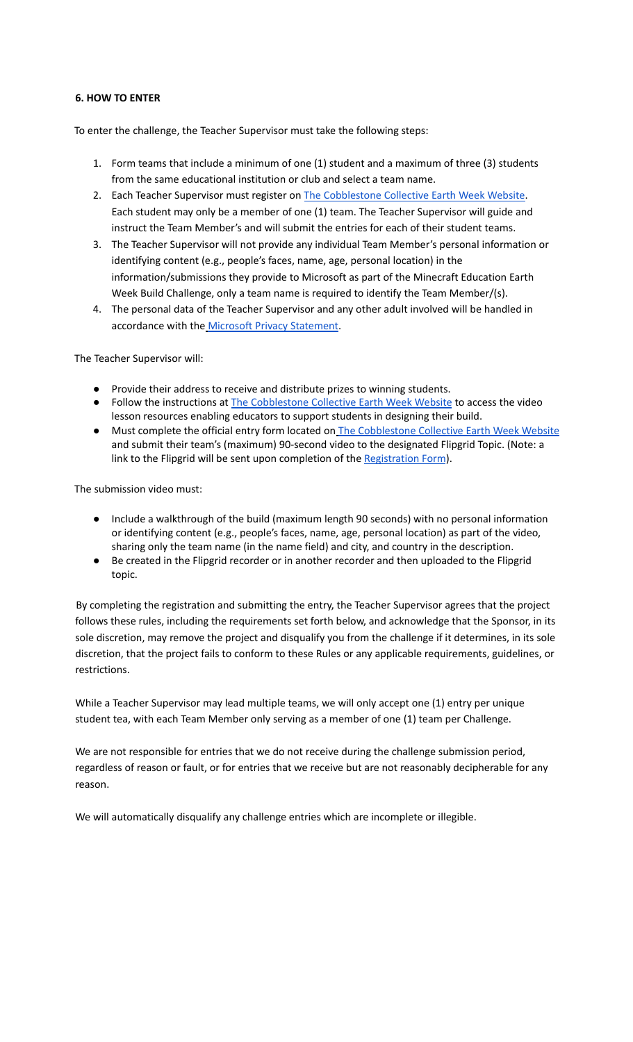#### **6. HOW TO ENTER**

To enter the challenge, the Teacher Supervisor must take the following steps:

- 1. Form teams that include a minimum of one (1) student and a maximum of three (3) students from the same educational institution or club and select a team name.
- 2. Each Teacher Supervisor must register on The [Cobblestone](https://cobblestonecollective.ca/minecraft/earth-week2022/) Collective Earth Week Website. Each student may only be a member of one (1) team. The Teacher Supervisor will guide and instruct the Team Member's and will submit the entries for each of their student teams.
- 3. The Teacher Supervisor will not provide any individual Team Member's personal information or identifying content (e.g., people's faces, name, age, personal location) in the information/submissions they provide to Microsoft as part of the Minecraft Education Earth Week Build Challenge, only a team name is required to identify the Team Member/(s).
- 4. The personal data of the Teacher Supervisor and any other adult involved will be handled in accordance with the Microsoft Privacy [Statement](https://privacy.microsoft.com/en-us/privacystatement).

The Teacher Supervisor will:

- Provide their address to receive and distribute prizes to winning students.
- Follow the instructions at The [Cobblestone](https://cobblestonecollective.ca/minecraft/earth-week2022/) Collective Earth Week Website to access the video lesson resources enabling educators to support students in designing their build.
- Must complete the official entry form located on The [Cobblestone](https://cobblestonecollective.ca/minecraft/earth-week2022/) Collective Earth Week Website and submit their team's (maximum) 90-second video to the designated Flipgrid Topic. (Note: a link to the Flipgrid will be sent upon completion of the [Registration](https://forms.office.com/r/NjyYdXxSyP) Form).

The submission video must:

- Include a walkthrough of the build (maximum length 90 seconds) with no personal information or identifying content (e.g., people's faces, name, age, personal location) as part of the video, sharing only the team name (in the name field) and city, and country in the description.
- Be created in the Flipgrid recorder or in another recorder and then uploaded to the Flipgrid topic.

By completing the registration and submitting the entry, the Teacher Supervisor agrees that the project follows these rules, including the requirements set forth below, and acknowledge that the Sponsor, in its sole discretion, may remove the project and disqualify you from the challenge if it determines, in its sole discretion, that the project fails to conform to these Rules or any applicable requirements, guidelines, or restrictions.

While a Teacher Supervisor may lead multiple teams, we will only accept one (1) entry per unique student tea, with each Team Member only serving as a member of one (1) team per Challenge.

We are not responsible for entries that we do not receive during the challenge submission period, regardless of reason or fault, or for entries that we receive but are not reasonably decipherable for any reason.

We will automatically disqualify any challenge entries which are incomplete or illegible.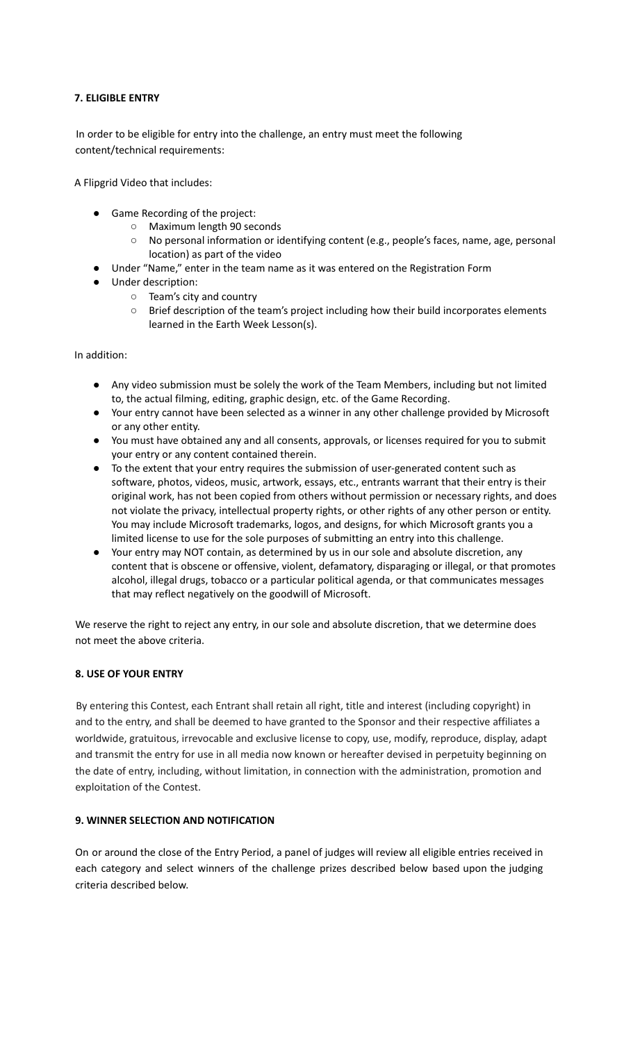## **7. ELIGIBLE ENTRY**

In order to be eligible for entry into the challenge, an entry must meet the following content/technical requirements:

A Flipgrid Video that includes:

- Game Recording of the project:
	- Maximum length 90 seconds
	- No personal information or identifying content (e.g., people's faces, name, age, personal location) as part of the video
- Under "Name," enter in the team name as it was entered on the Registration Form
- Under description:
	- Team's city and country
	- Brief description of the team's project including how their build incorporates elements learned in the Earth Week Lesson(s).

In addition:

- Any video submission must be solely the work of the Team Members, including but not limited to, the actual filming, editing, graphic design, etc. of the Game Recording.
- Your entry cannot have been selected as a winner in any other challenge provided by Microsoft or any other entity.
- You must have obtained any and all consents, approvals, or licenses required for you to submit your entry or any content contained therein.
- To the extent that your entry requires the submission of user-generated content such as software, photos, videos, music, artwork, essays, etc., entrants warrant that their entry is their original work, has not been copied from others without permission or necessary rights, and does not violate the privacy, intellectual property rights, or other rights of any other person or entity. You may include Microsoft trademarks, logos, and designs, for which Microsoft grants you a limited license to use for the sole purposes of submitting an entry into this challenge.
- Your entry may NOT contain, as determined by us in our sole and absolute discretion, any content that is obscene or offensive, violent, defamatory, disparaging or illegal, or that promotes alcohol, illegal drugs, tobacco or a particular political agenda, or that communicates messages that may reflect negatively on the goodwill of Microsoft.

We reserve the right to reject any entry, in our sole and absolute discretion, that we determine does not meet the above criteria.

## **8. USE OF YOUR ENTRY**

By entering this Contest, each Entrant shall retain all right, title and interest (including copyright) in and to the entry, and shall be deemed to have granted to the Sponsor and their respective affiliates a worldwide, gratuitous, irrevocable and exclusive license to copy, use, modify, reproduce, display, adapt and transmit the entry for use in all media now known or hereafter devised in perpetuity beginning on the date of entry, including, without limitation, in connection with the administration, promotion and exploitation of the Contest.

## **9. WINNER SELECTION AND NOTIFICATION**

On or around the close of the Entry Period, a panel of judges will review all eligible entries received in each category and select winners of the challenge prizes described below based upon the judging criteria described below.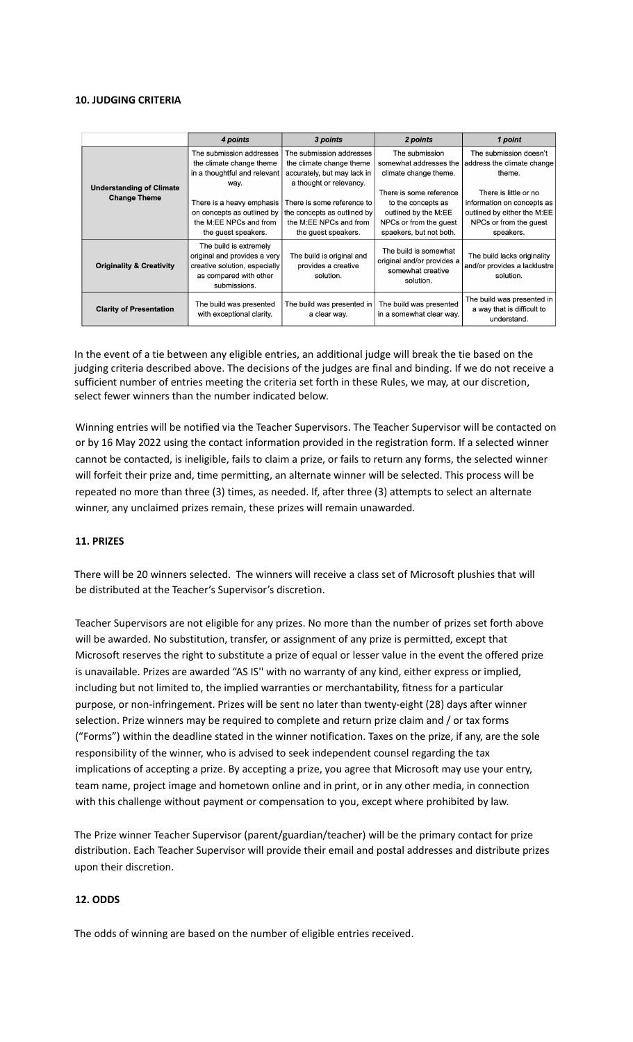#### **10. JUDGING CRITERIA**

|                                                        | 4 points                                                                                                                          | 3 points                                                      | 2 points                                                                              | 1 point                                                                  |
|--------------------------------------------------------|-----------------------------------------------------------------------------------------------------------------------------------|---------------------------------------------------------------|---------------------------------------------------------------------------------------|--------------------------------------------------------------------------|
| <b>Understanding of Climate</b><br><b>Change Theme</b> | The submission addresses                                                                                                          | The submission addresses                                      | The submission                                                                        | The submission doesn't                                                   |
|                                                        | the climate change theme                                                                                                          | the climate change theme                                      | somewhat addresses the                                                                | address the climate change                                               |
|                                                        | in a thoughtful and relevant                                                                                                      | accurately, but may lack in                                   | climate change theme.                                                                 | theme.                                                                   |
|                                                        | way.                                                                                                                              | a thought or relevancy.                                       |                                                                                       |                                                                          |
|                                                        |                                                                                                                                   |                                                               | There is some reference                                                               | There is little or no                                                    |
|                                                        | There is a heavy emphasis                                                                                                         | There is some reference to                                    | to the concepts as                                                                    | information on concepts as                                               |
|                                                        | on concepts as outlined by                                                                                                        | the concepts as outlined by                                   | outlined by the M:EE                                                                  | outlined by either the M:EE                                              |
|                                                        | the M:EE NPCs and from                                                                                                            | the M:EE NPCs and from                                        | NPCs or from the quest                                                                | NPCs or from the guest                                                   |
|                                                        | the guest speakers.                                                                                                               | the guest speakers.                                           | spaekers, but not both.                                                               | speakers.                                                                |
| <b>Originality &amp; Creativity</b>                    | The build is extremely<br>original and provides a very<br>creative solution, especially<br>as compared with other<br>submissions. | The build is original and<br>provides a creative<br>solution. | The build is somewhat<br>original and/or provides a<br>somewhat creative<br>solution. | The build lacks originality<br>and/or provides a lacklustre<br>solution. |
| <b>Clarity of Presentation</b>                         | The build was presented<br>with exceptional clarity.                                                                              | The build was presented in<br>a clear way.                    | The build was presented<br>in a somewhat clear way.                                   | The build was presented in<br>a way that is difficult to<br>understand.  |

In the event of a tie between any eligible entries, an additional judge will break the tie based on the judging criteria described above. The decisions of the judges are final and binding. If we do not receive a sufficient number of entries meeting the criteria set forth in these Rules, we may, at our discretion, select fewer winners than the number indicated below.

Winning entries will be notified via the Teacher Supervisors. The Teacher Supervisor will be contacted on or by 16 May 2022 using the contact information provided in the registration form. If a selected winner cannot be contacted, is ineligible, fails to claim a prize, or fails to return any forms, the selected winner will forfeit their prize and, time permitting, an alternate winner will be selected. This process will be repeated no more than three (3) times, as needed. If, after three (3) attempts to select an alternate winner, any unclaimed prizes remain, these prizes will remain unawarded.

#### **11. PRIZES**

There will be 20 winners selected. The winners will receive a class set of Microsoft plushies that will be distributed at the Teacher's Supervisor's discretion.

Teacher Supervisors are not eligible for any prizes. No more than the number of prizes set forth above will be awarded. No substitution, transfer, or assignment of any prize is permitted, except that Microsoft reserves the right to substitute a prize of equal or lesser value in the event the offered prize is unavailable. Prizes are awarded "AS IS'' with no warranty of any kind, either express or implied, including but not limited to, the implied warranties or merchantability, fitness for a particular purpose, or non-infringement. Prizes will be sent no later than twenty-eight (28) days after winner selection. Prize winners may be required to complete and return prize claim and / or tax forms ("Forms") within the deadline stated in the winner notification. Taxes on the prize, if any, are the sole responsibility of the winner, who is advised to seek independent counsel regarding the tax implications of accepting a prize. By accepting a prize, you agree that Microsoft may use your entry, team name, project image and hometown online and in print, or in any other media, in connection with this challenge without payment or compensation to you, except where prohibited by law.

The Prize winner Teacher Supervisor (parent/guardian/teacher) will be the primary contact for prize distribution. Each Teacher Supervisor will provide their email and postal addresses and distribute prizes upon their discretion.

#### **12. ODDS**

The odds of winning are based on the number of eligible entries received.